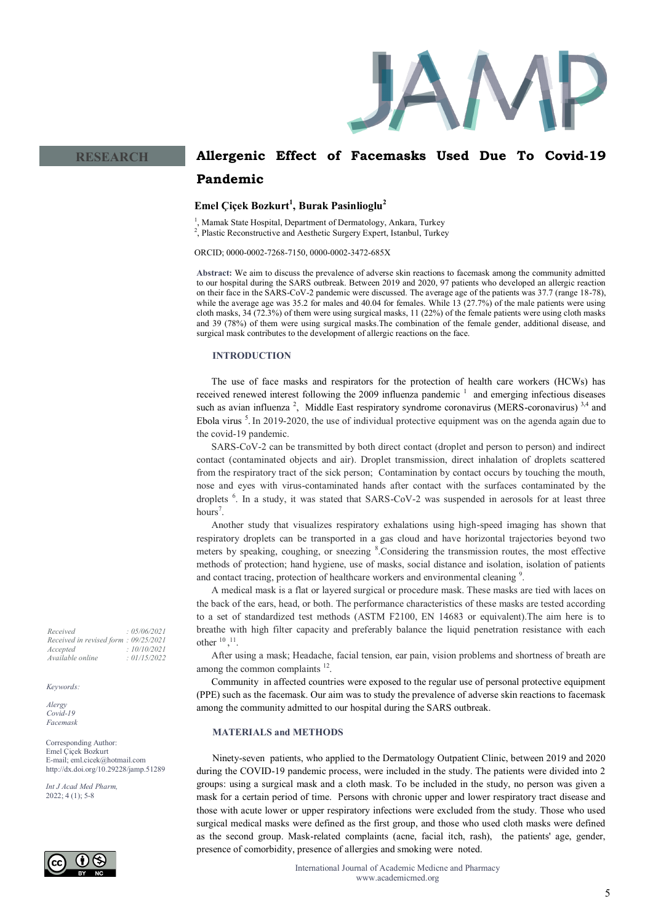

# **Emel Çiçek Bozkurt<sup>1</sup> , Burak Pasinlioglu<sup>2</sup>**

1 , Mamak State Hospital, Department of Dermatology, Ankara, Turkey

<sup>2</sup>, Plastic Reconstructive and Aesthetic Surgery Expert, Istanbul, Turkey

ORCID; 0000-0002-7268-7150, 0000-0002-3472-685X

**Abstract:** We aim to discuss the prevalence of adverse skin reactions to facemask among the community admitted to our hospital during the SARS outbreak. Between 2019 and 2020, 97 patients who developed an allergic reaction on their face in the SARS-CoV-2 pandemic were discussed. The average age of the patients was 37.7 (range 18-78), while the average age was 35.2 for males and 40.04 for females. While 13 (27.7%) of the male patients were using cloth masks, 34 (72.3%) of them were using surgical masks, 11 (22%) of the female patients were using cloth masks and 39 (78%) of them were using surgical masks.The combination of the female gender, additional disease, and surgical mask contributes to the development of allergic reactions on the face.

#### **INTRODUCTION**

The use of face masks and respirators for the protection of health care workers (HCWs) has received renewed interest following the 2009 influenza pandemic  $\frac{1}{1}$  and emerging infectious diseases such as avian influenza<sup>2</sup>, Middle East respiratory syndrome coronavirus (MERS-coronavirus)<sup>3,4</sup> and Ebola virus  $\frac{5}{5}$ . In 2019-2020, the use of individual protective equipment was on the agenda again due to the covid-19 pandemic.

SARS-CoV-2 can be transmitted by both direct contact (droplet and person to person) and indirect contact (contaminated objects and air). Droplet transmission, direct inhalation of droplets scattered from the respiratory tract of the sick person; Contamination by contact occurs by touching the mouth, nose and eyes with virus-contaminated hands after contact with the surfaces contaminated by the droplets <sup>6</sup>. In a study, it was stated that SARS-CoV-2 was suspended in aerosols for at least three hours<sup>7</sup>.

Another study that visualizes respiratory exhalations using high-speed imaging has shown that respiratory droplets can be transported in a gas cloud and have horizontal trajectories beyond two meters by speaking, coughing, or sneezing <sup>8</sup>. Considering the transmission routes, the most effective methods of protection; hand hygiene, use of masks, social distance and isolation, isolation of patients and contact tracing, protection of healthcare workers and environmental cleaning<sup>9</sup>.

A medical mask is a flat or layered surgical or procedure mask. These masks are tied with laces on the back of the ears, head, or both. The performance characteristics of these masks are tested according to a set of standardized test methods (ASTM F2100, EN 14683 or equivalent).The aim here is to breathe with high filter capacity and preferably balance the liquid penetration resistance with each other  $^{10}$ ,  $^{11}$ .

After using a mask; Headache, facial tension, ear pain, vision problems and shortness of breath are among the common complaints  $12$ .

Community in affected countries were exposed to the regular use of personal protective equipment (PPE) such as the facemask. Our aim was to study the prevalence of adverse skin reactions to facemask among the community admitted to our hospital during the SARS outbreak.

## **MATERIALS and METHODS**

Ninety-seven patients, who applied to the Dermatology Outpatient Clinic, between 2019 and 2020 during the COVID-19 pandemic process, were included in the study. The patients were divided into 2 groups: using a surgical mask and a cloth mask. To be included in the study, no person was given a mask for a certain period of time. Persons with chronic upper and lower respiratory tract disease and those with acute lower or upper respiratory infections were excluded from the study. Those who used surgical medical masks were defined as the first group, and those who used cloth masks were defined as the second group. Mask-related complaints (acne, facial itch, rash), the patients' age, gender, presence of comorbidity, presence of allergies and smoking were noted.

*Received : 05/06/2021 Received in revised form : 09/25/2021 Accepted : 10/10/2021 Available online : 01/15/2022*

**RESEARCH**

#### *Keywords:*

*Alergy Covid-19 Facemask* 

Corresponding Author: Emel Çiçek Bozkurt E-mail; eml.cicek@hotmail.com http://dx.doi.org/10.29228/jamp.51289

*Int J Acad Med Pharm,* 2022; 4 (1); 5-8

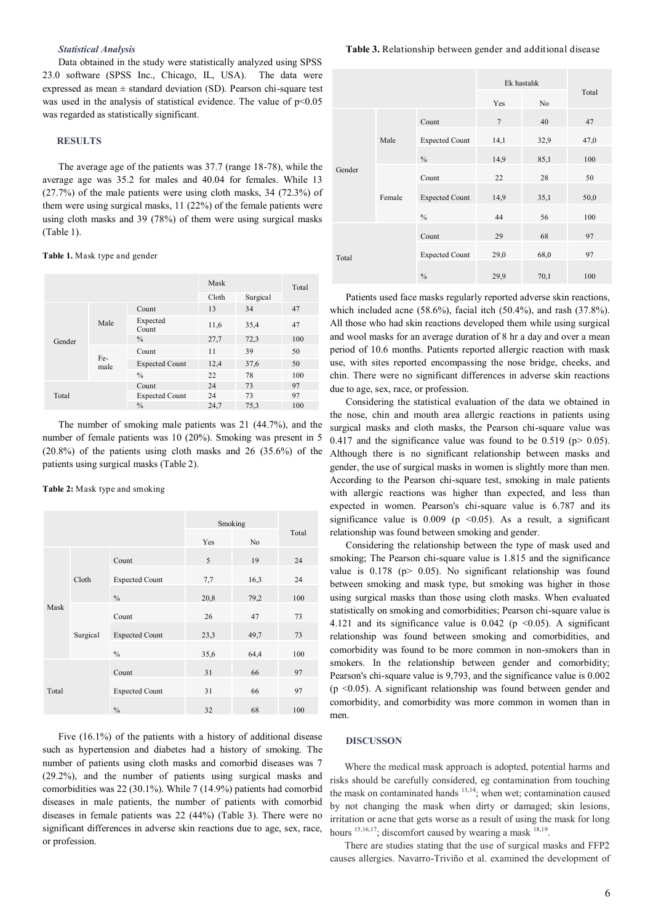## *Statistical Analysis*

Data obtained in the study were statistically analyzed using SPSS 23.0 software (SPSS Inc., Chicago, IL, USA). The data were expressed as mean ± standard deviation (SD). Pearson chi-square test was used in the analysis of statistical evidence. The value of  $p<0.05$ was regarded as statistically significant.

## **RESULTS**

The average age of the patients was 37.7 (range 18-78), while the average age was 35.2 for males and 40.04 for females. While 13 (27.7%) of the male patients were using cloth masks, 34 (72.3%) of them were using surgical masks, 11 (22%) of the female patients were using cloth masks and 39 (78%) of them were using surgical masks (Table 1).

#### **Table 1.** Mask type and gender

|        |             |                       | Mask  |          | Total |
|--------|-------------|-----------------------|-------|----------|-------|
|        |             |                       | Cloth | Surgical |       |
| Gender | Male        | Count                 | 13    | 34       | 47    |
|        |             | Expected<br>Count     | 11,6  | 35,4     | 47    |
|        |             | $\%$                  | 27,7  | 72,3     | 100   |
|        | Fe-<br>male | Count                 | 11    | 39       | 50    |
|        |             | <b>Expected Count</b> | 12,4  | 37,6     | 50    |
|        |             | $\frac{0}{0}$         | 22    | 78       | 100   |
|        |             | Count                 | 24    | 73       | 97    |
| Total  |             | <b>Expected Count</b> | 24    | 73       | 97    |
|        |             | $\frac{0}{0}$         | 24,7  | 75,3     | 100   |

The number of smoking male patients was 21 (44.7%), and the number of female patients was 10 (20%). Smoking was present in 5  $(20.8\%)$  of the patients using cloth masks and 26  $(35.6\%)$  of the patients using surgical masks (Table 2).

**Table 2:** Mask type and smoking

|       |          |                       | Smoking |      |       |
|-------|----------|-----------------------|---------|------|-------|
|       |          |                       | Yes     | No   | Total |
| Mask  | Cloth    | Count                 | 5       | 19   | 24    |
|       |          | <b>Expected Count</b> | 7,7     | 16,3 | 24    |
|       |          | $\frac{0}{0}$         | 20,8    | 79,2 | 100   |
|       | Surgical | Count                 | 26      | 47   | 73    |
|       |          | <b>Expected Count</b> | 23,3    | 49,7 | 73    |
|       |          | $\%$                  | 35,6    | 64,4 | 100   |
| Total |          | Count                 | 31      | 66   | 97    |
|       |          | <b>Expected Count</b> | 31      | 66   | 97    |
|       |          | $\frac{0}{0}$         | 32      | 68   | 100   |

Five (16.1%) of the patients with a history of additional disease such as hypertension and diabetes had a history of smoking. The number of patients using cloth masks and comorbid diseases was 7 (29.2%), and the number of patients using surgical masks and comorbidities was 22 (30.1%). While 7 (14.9%) patients had comorbid diseases in male patients, the number of patients with comorbid diseases in female patients was 22 (44%) (Table 3). There were no significant differences in adverse skin reactions due to age, sex, race, or profession.

|        |        |                       | Ek hastalık    |                |       |
|--------|--------|-----------------------|----------------|----------------|-------|
|        |        |                       | Yes            | N <sub>0</sub> | Total |
| Gender | Male   | Count                 | $\overline{7}$ | 40             | 47    |
|        |        | <b>Expected Count</b> | 14,1           | 32,9           | 47,0  |
|        |        | $\frac{0}{0}$         | 14,9           | 85,1           | 100   |
|        | Female | Count                 | 22             | 28             | 50    |
|        |        | <b>Expected Count</b> | 14,9           | 35,1           | 50,0  |
|        |        | $\%$                  | 44             | 56             | 100   |
| Total  |        | Count                 | 29             | 68             | 97    |
|        |        | <b>Expected Count</b> | 29,0           | 68,0           | 97    |
|        |        | $\frac{0}{0}$         | 29,9           | 70,1           | 100   |

Patients used face masks regularly reported adverse skin reactions, which included acne (58.6%), facial itch (50.4%), and rash (37.8%). All those who had skin reactions developed them while using surgical and wool masks for an average duration of 8 hr a day and over a mean period of 10.6 months. Patients reported allergic reaction with mask use, with sites reported encompassing the nose bridge, cheeks, and chin. There were no significant differences in adverse skin reactions due to age, sex, race, or profession.

Considering the statistical evaluation of the data we obtained in the nose, chin and mouth area allergic reactions in patients using surgical masks and cloth masks, the Pearson chi-square value was 0.417 and the significance value was found to be 0.519 ( $p > 0.05$ ). Although there is no significant relationship between masks and gender, the use of surgical masks in women is slightly more than men. According to the Pearson chi-square test, smoking in male patients with allergic reactions was higher than expected, and less than expected in women. Pearson's chi-square value is 6.787 and its significance value is  $0.009$  (p <0.05). As a result, a significant relationship was found between smoking and gender.

Considering the relationship between the type of mask used and smoking; The Pearson chi-square value is 1.815 and the significance value is  $0.178$  (p $> 0.05$ ). No significant relationship was found between smoking and mask type, but smoking was higher in those using surgical masks than those using cloth masks. When evaluated statistically on smoking and comorbidities; Pearson chi-square value is 4.121 and its significance value is 0.042 ( $p \le 0.05$ ). A significant relationship was found between smoking and comorbidities, and comorbidity was found to be more common in non-smokers than in smokers. In the relationship between gender and comorbidity; Pearson's chi-square value is 9,793, and the significance value is 0.002 (p <0.05). A significant relationship was found between gender and comorbidity, and comorbidity was more common in women than in men.

## **DISCUSSON**

Where the medical mask approach is adopted, potential harms and risks should be carefully considered, eg contamination from touching the mask on contaminated hands <sup>13,14</sup>; when wet; contamination caused by not changing the mask when dirty or damaged; skin lesions, irritation or acne that gets worse as a result of using the mask for long hours  $^{15,16,17}$ ; discomfort caused by wearing a mask  $^{18,19}$ .

There are studies stating that the use of surgical masks and FFP2 causes allergies. Navarro-Triviño et al. examined the development of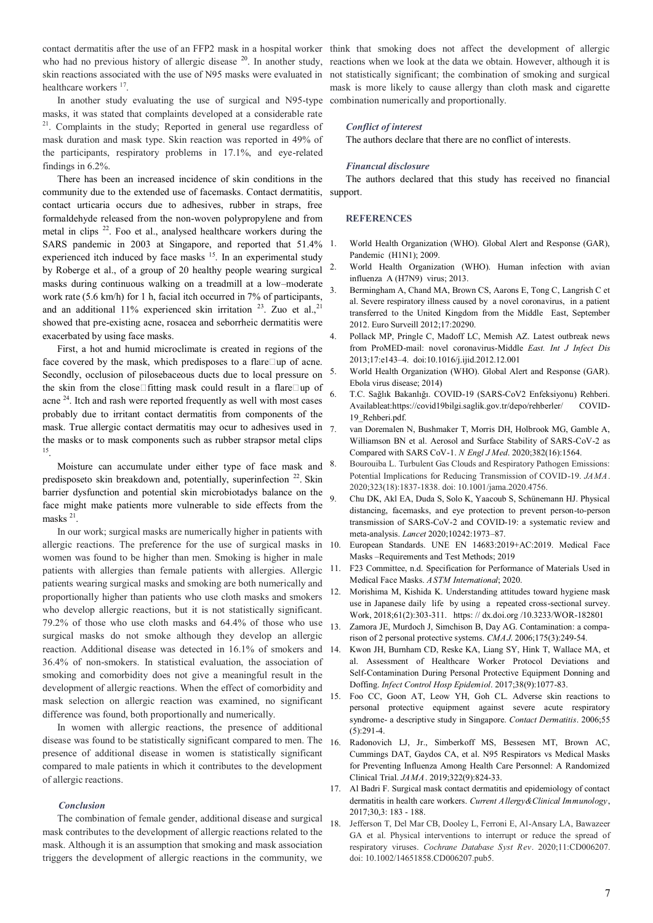contact dermatitis after the use of an FFP2 mask in a hospital worker think that smoking does not affect the development of allergic who had no previous history of allergic disease  $2^0$ . In another study, skin reactions associated with the use of N95 masks were evaluated in healthcare workers <sup>17</sup>.

In another study evaluating the use of surgical and N95-type masks, it was stated that complaints developed at a considerable rate <sup>21</sup>. Complaints in the study; Reported in general use regardless of mask duration and mask type. Skin reaction was reported in 49% of the participants, respiratory problems in 17.1%, and eye-related findings in 6.2%.

There has been an increased incidence of skin conditions in the community due to the extended use of facemasks. Contact dermatitis, contact urticaria occurs due to adhesives, rubber in straps, free formaldehyde released from the non-woven polypropylene and from metal in clips <sup>22</sup>. Foo et al., analysed healthcare workers during the SARS pandemic in 2003 at Singapore, and reported that 51.4% experienced itch induced by face masks <sup>15</sup>. In an experimental study by Roberge et al., of a group of 20 healthy people wearing surgical masks during continuous walking on a treadmill at a low–moderate work rate (5.6 km/h) for 1 h, facial itch occurred in 7% of participants, and an additional 11% experienced skin irritation  $23$ . Zuo et al., 21 showed that pre-existing acne, rosacea and seborrheic dermatitis were exacerbated by using face masks.

First, a hot and humid microclimate is created in regions of the face covered by the mask, which predisposes to a flare $\square$ up of acne. Secondly, occlusion of pilosebaceous ducts due to local pressure on the skin from the close fitting mask could result in a flare  $\Box$ up of acne <sup>24</sup>. Itch and rash were reported frequently as well with most cases probably due to irritant contact dermatitis from components of the mask. True allergic contact dermatitis may ocur to adhesives used in the masks or to mask components such as rubber strapsor metal clips 15 .

Moisture can accumulate under either type of face mask and predisposeto skin breakdown and, potentially, superinfection  $22$ . Skin barrier dysfunction and potential skin microbiotadys balance on the face might make patients more vulnerable to side effects from the masks<sup>21</sup>.

In our work; surgical masks are numerically higher in patients with allergic reactions. The preference for the use of surgical masks in women was found to be higher than men. Smoking is higher in male patients with allergies than female patients with allergies. Allergic patients wearing surgical masks and smoking are both numerically and proportionally higher than patients who use cloth masks and smokers who develop allergic reactions, but it is not statistically significant. 79.2% of those who use cloth masks and 64.4% of those who use surgical masks do not smoke although they develop an allergic reaction. Additional disease was detected in 16.1% of smokers and 36.4% of non-smokers. In statistical evaluation, the association of smoking and comorbidity does not give a meaningful result in the development of allergic reactions. When the effect of comorbidity and mask selection on allergic reaction was examined, no significant difference was found, both proportionally and numerically.

In women with allergic reactions, the presence of additional disease was found to be statistically significant compared to men. The presence of additional disease in women is statistically significant compared to male patients in which it contributes to the development of allergic reactions.

### *Conclusion*

The combination of female gender, additional disease and surgical mask contributes to the development of allergic reactions related to the mask. Although it is an assumption that smoking and mask association triggers the development of allergic reactions in the community, we

reactions when we look at the data we obtain. However, although it is not statistically significant; the combination of smoking and surgical mask is more likely to cause allergy than cloth mask and cigarette combination numerically and proportionally.

### *Conflict of interest*

The authors declare that there are no conflict of interests.

#### *Financıal disclosure*

The authors declared that this study has received no financial support.

#### **REFERENCES**

- World Health Organization (WHO). Global Alert and Response (GAR), Pandemic (H1N1); 2009.
- 2. World Health Organization (WHO). Human infection with avian influenza A (H7N9) virus; 2013.
- 3. Bermingham A, Chand MA, Brown CS, Aarons E, Tong C, Langrish C et al. Severe respiratory illness caused by a novel coronavirus, in a patient transferred to the United Kingdom from the Middle East, September 2012. Euro Surveill 2012;17:20290.
- 4. Pollack MP, Pringle C, Madoff LC, Memish AZ. Latest outbreak news from ProMED-mail: novel coronavirus-Middle *East. Int J Infect Dis*  2013;17:e143–4. doi:10.1016/j.ijid.2012.12.001
- 5. World Health Organization (WHO). Global Alert and Response (GAR). Ebola virus disease; 2014)
- 6. T.C. Sağlık Bakanlığı. COVID-19 (SARS-CoV2 Enfeksiyonu) Rehberi. Availableat:https://covid19bilgi.saglik.gov.tr/depo/rehberler/ COVID-19\_Rehberi.pdf.
- 7. van Doremalen N, Bushmaker T, Morris DH, Holbrook MG, Gamble A, Williamson BN et al. Aerosol and Surface Stability of SARS-CoV-2 as Compared with SARS CoV-1. *N Engl J Med*. 2020;382(16):1564.
- 8. Bourouiba L. Turbulent Gas Clouds and Respiratory Pathogen Emissions: Potential Implications for Reducing Transmission of COVID-19. *JAMA*. 2020;323(18):1837-1838. doi: 10.1001/jama.2020.4756.
- 9. Chu DK, Akl EA, Duda S, Solo K, Yaacoub S, Schünemann HJ. Physical distancing, facemasks, and eye protection to prevent person-to-person transmission of SARS-CoV-2 and COVID-19: a systematic review and meta-analysis. *Lancet* 2020;10242:1973–87.
- 10. European Standards. UNE EN 14683:2019+AC:2019. Medical Face Masks –Requirements and Test Methods; 2019
- 11. F23 Committee, n.d. Specification for Performance of Materials Used in Medical Face Masks. *ASTM International*; 2020.
- 12. Morishima M, Kishida K. Understanding attitudes toward hygiene mask use in Japanese daily life by using a repeated cross-sectional survey. Work, 2018;61(2):303-311. https: // dx.doi.org /10.3233/WOR-182801
- 13. Zamora JE, Murdoch J, Simchison B, Day AG. Contamination: a comparison of 2 personal protective systems. *CMAJ*. 2006;175(3):249-54.
- 14. Kwon JH, Burnham CD, Reske KA, Liang SY, Hink T, Wallace MA, et al. Assessment of Healthcare Worker Protocol Deviations and Self-Contamination During Personal Protective Equipment Donning and Doffing. *Infect Control Hosp Epidemiol*. 2017;38(9):1077-83.
- 15. Foo CC, Goon AT, Leow YH, Goh CL. Adverse skin reactions to personal protective equipment against severe acute respiratory syndrome- a descriptive study in Singapore. *Contact Dermatitis*. 2006;55 (5):291-4.
- 16. Radonovich LJ, Jr., Simberkoff MS, Bessesen MT, Brown AC, Cummings DAT, Gaydos CA, et al. N95 Respirators vs Medical Masks for Preventing Influenza Among Health Care Personnel: A Randomized Clinical Trial. *JAMA*. 2019;322(9):824-33.
- 17. Al Badri F. Surgical mask contact dermatitis and epidemiology of contact dermatitis in health care workers. *Current Allergy&Clinical Immunology*, 2017;30,3: 183 - 188.
- 18. Jefferson T, Del Mar CB, Dooley L, Ferroni E, Al-Ansary LA, Bawazeer GA et al. Physical interventions to interrupt or reduce the spread of respiratory viruses. *Cochrane Database Syst Rev*. 2020;11:CD006207. doi: 10.1002/14651858.CD006207.pub5.